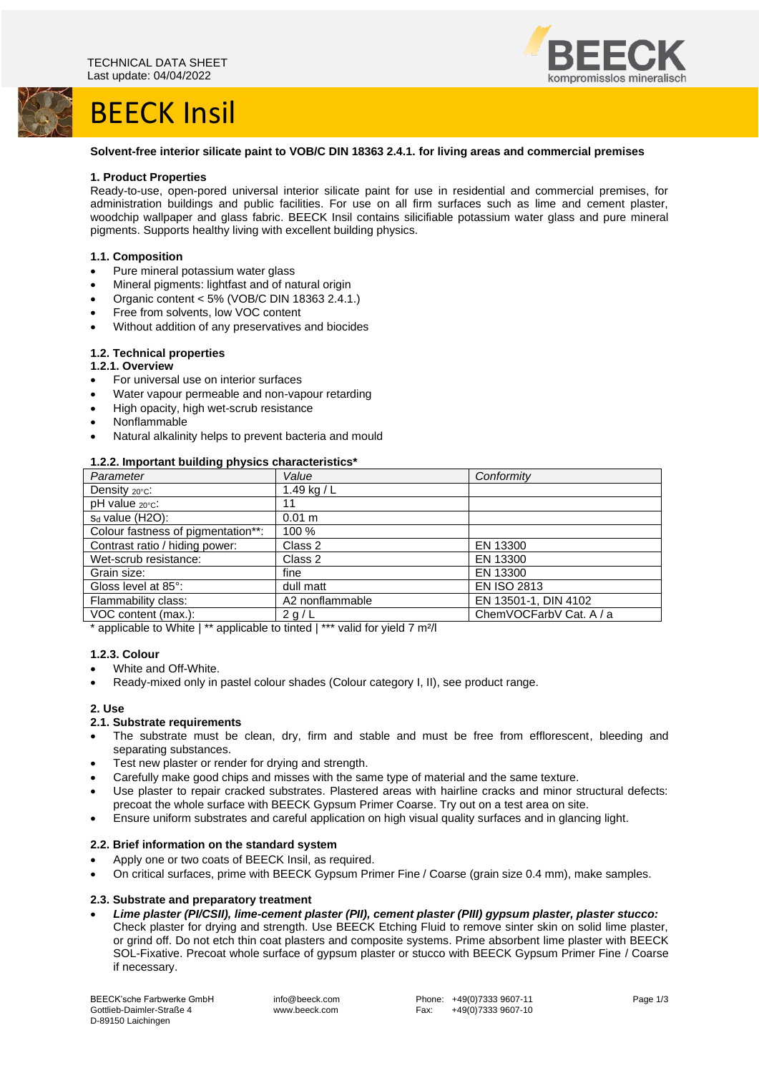# **BEECK Insil**



#### **Solvent-free interior silicate paint to VOB/C DIN 18363 2.4.1. for living areas and commercial premises**

#### **1. Product Properties**

Ready-to-use, open-pored universal interior silicate paint for use in residential and commercial premises, for administration buildings and public facilities. For use on all firm surfaces such as lime and cement plaster, woodchip wallpaper and glass fabric. BEECK Insil contains silicifiable potassium water glass and pure mineral pigments. Supports healthy living with excellent building physics.

# **1.1. Composition**

- Pure mineral potassium water glass
- Mineral pigments: lightfast and of natural origin
- Organic content <  $5\%$  (VOB/C DIN 18363 2.4.1.)
- Free from solvents, low VOC content
- Without addition of any preservatives and biocides

#### **1.2. Technical properties 1.2.1. Overview**

- 
- For universal use on interior surfaces
- Water vapour permeable and non-vapour retarding
- High opacity, high wet-scrub resistance
- Nonflammable
- Natural alkalinity helps to prevent bacteria and mould

#### **1.2.2. Important building physics characteristics\***

| Parameter                          | Value           | Conformity              |
|------------------------------------|-----------------|-------------------------|
| Density 20°C:                      | 1.49 kg / $L$   |                         |
| $pH$ value $20^{\circ}$ c:         | 11              |                         |
| $s_d$ value (H2O):                 | 0.01 m          |                         |
| Colour fastness of pigmentation**: | 100 %           |                         |
| Contrast ratio / hiding power:     | Class 2         | EN 13300                |
| Wet-scrub resistance:              | Class 2         | EN 13300                |
| Grain size:                        | fine            | EN 13300                |
| Gloss level at 85°:                | dull matt       | <b>EN ISO 2813</b>      |
| Flammability class:                | A2 nonflammable | EN 13501-1, DIN 4102    |
| VOC content (max.):                | 2 g/L           | ChemVOCFarbV Cat. A / a |

\* applicable to White | \*\* applicable to tinted | \*\*\* valid for yield 7 m²/l

#### **1.2.3. Colour**

- White and Off-White.
- Ready-mixed only in pastel colour shades (Colour category I, II), see product range.

# **2. Use**

# **2.1. Substrate requirements**

- The substrate must be clean, dry, firm and stable and must be free from efflorescent, bleeding and separating substances.
- Test new plaster or render for drying and strength.
- Carefully make good chips and misses with the same type of material and the same texture.
- Use plaster to repair cracked substrates. Plastered areas with hairline cracks and minor structural defects: precoat the whole surface with BEECK Gypsum Primer Coarse. Try out on a test area on site.
- Ensure uniform substrates and careful application on high visual quality surfaces and in glancing light.

#### **2.2. Brief information on the standard system**

- Apply one or two coats of BEECK Insil, as required.
- On critical surfaces, prime with BEECK Gypsum Primer Fine / Coarse (grain size 0.4 mm), make samples.

# **2.3. Substrate and preparatory treatment**

• *Lime plaster (PI/CSII), lime-cement plaster (PII), cement plaster (PIII) gypsum plaster, plaster stucco:* Check plaster for drying and strength. Use BEECK Etching Fluid to remove sinter skin on solid lime plaster, or grind off. Do not etch thin coat plasters and composite systems. Prime absorbent lime plaster with BEECK SOL-Fixative. Precoat whole surface of gypsum plaster or stucco with BEECK Gypsum Primer Fine / Coarse if necessary.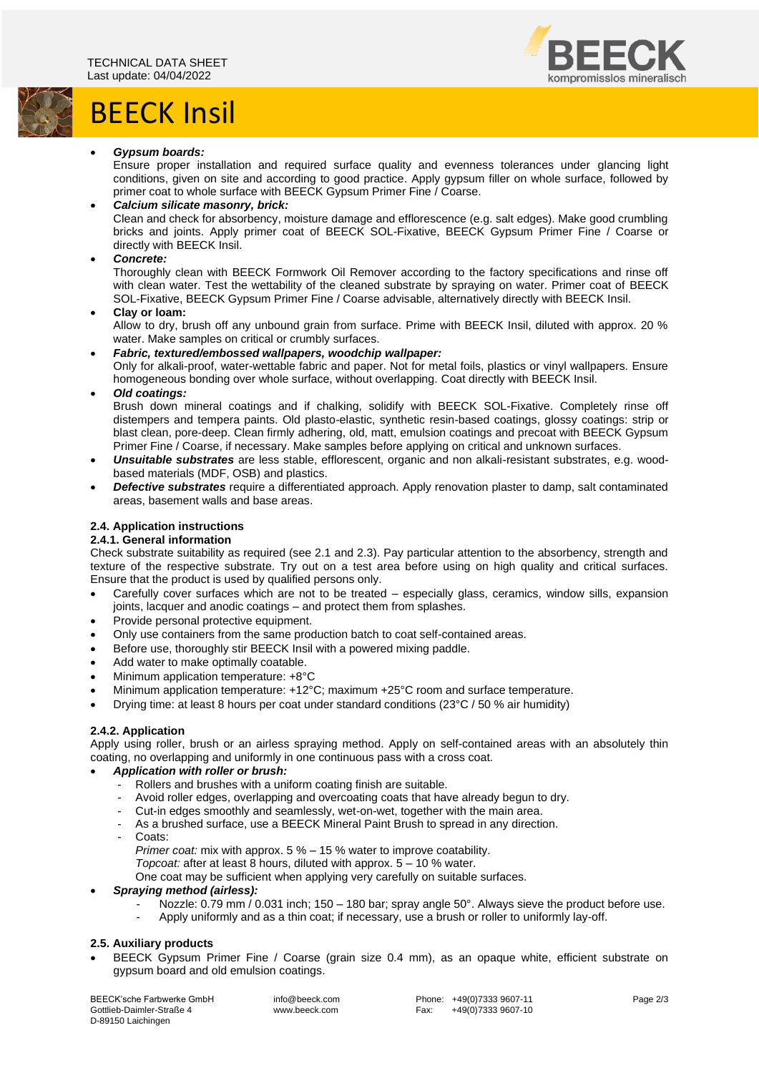

# BEECK Insil



# • *Gypsum boards:*

Ensure proper installation and required surface quality and evenness tolerances under glancing light conditions, given on site and according to good practice. Apply gypsum filler on whole surface, followed by primer coat to whole surface with BEECK Gypsum Primer Fine / Coarse.

# • *Calcium silicate masonry, brick:*

Clean and check for absorbency, moisture damage and efflorescence (e.g. salt edges). Make good crumbling bricks and joints. Apply primer coat of BEECK SOL-Fixative, BEECK Gypsum Primer Fine / Coarse or directly with BEECK Insil.

# • *Concrete:*

Thoroughly clean with BEECK Formwork Oil Remover according to the factory specifications and rinse off with clean water. Test the wettability of the cleaned substrate by spraying on water. Primer coat of BEECK SOL-Fixative, BEECK Gypsum Primer Fine / Coarse advisable, alternatively directly with BEECK Insil.

# • **Clay or loam:**

Allow to dry, brush off any unbound grain from surface. Prime with BEECK Insil, diluted with approx. 20 % water. Make samples on critical or crumbly surfaces.

• *Fabric, textured/embossed wallpapers, woodchip wallpaper:*

Only for alkali-proof, water-wettable fabric and paper. Not for metal foils, plastics or vinyl wallpapers. Ensure homogeneous bonding over whole surface, without overlapping. Coat directly with BEECK Insil.

• *Old coatings:*

Brush down mineral coatings and if chalking, solidify with BEECK SOL-Fixative. Completely rinse off distempers and tempera paints. Old plasto-elastic, synthetic resin-based coatings, glossy coatings: strip or blast clean, pore-deep. Clean firmly adhering, old, matt, emulsion coatings and precoat with BEECK Gypsum Primer Fine / Coarse, if necessary. Make samples before applying on critical and unknown surfaces.

- *Unsuitable substrates* are less stable, efflorescent, organic and non alkali-resistant substrates, e.g. woodbased materials (MDF, OSB) and plastics.
- *Defective substrates* require a differentiated approach. Apply renovation plaster to damp, salt contaminated areas, basement walls and base areas.

# **2.4. Application instructions**

# **2.4.1. General information**

Check substrate suitability as required (see 2.1 and 2.3). Pay particular attention to the absorbency, strength and texture of the respective substrate. Try out on a test area before using on high quality and critical surfaces. Ensure that the product is used by qualified persons only.

- Carefully cover surfaces which are not to be treated especially glass, ceramics, window sills, expansion joints, lacquer and anodic coatings – and protect them from splashes.
- Provide personal protective equipment.
- Only use containers from the same production batch to coat self-contained areas.
- Before use, thoroughly stir BEECK Insil with a powered mixing paddle.
- Add water to make optimally coatable.
- Minimum application temperature: +8°C
- Minimum application temperature: +12°C; maximum +25°C room and surface temperature.
- Drying time: at least 8 hours per coat under standard conditions (23°C / 50 % air humidity)

# **2.4.2. Application**

Apply using roller, brush or an airless spraying method. Apply on self-contained areas with an absolutely thin coating, no overlapping and uniformly in one continuous pass with a cross coat.

# • *Application with roller or brush:*

- Rollers and brushes with a uniform coating finish are suitable.
- Avoid roller edges, overlapping and overcoating coats that have already begun to dry.
- Cut-in edges smoothly and seamlessly, wet-on-wet, together with the main area.
- As a brushed surface, use a BEECK Mineral Paint Brush to spread in any direction.
- Coats:

*Primer coat:* mix with approx. 5 % – 15 % water to improve coatability.

*Topcoat:* after at least 8 hours, diluted with approx. 5 – 10 % water.

One coat may be sufficient when applying very carefully on suitable surfaces.

# • *Spraying method (airless):*

- Nozzle: 0.79 mm  $/$  0.031 inch; 150 180 bar; spray angle 50°. Always sieve the product before use.
- Apply uniformly and as a thin coat; if necessary, use a brush or roller to uniformly lay-off.

# **2.5. Auxiliary products**

• BEECK Gypsum Primer Fine / Coarse (grain size 0.4 mm), as an opaque white, efficient substrate on gypsum board and old emulsion coatings.

BEECK'sche Farbwerke GmbH Gottlieb-Daimler-Straße 4 D-89150 Laichingen

info@beeck.com www.beeck.com

Phone: +49(0)7333 9607-11 Fax: +49(0)7333 9607-10